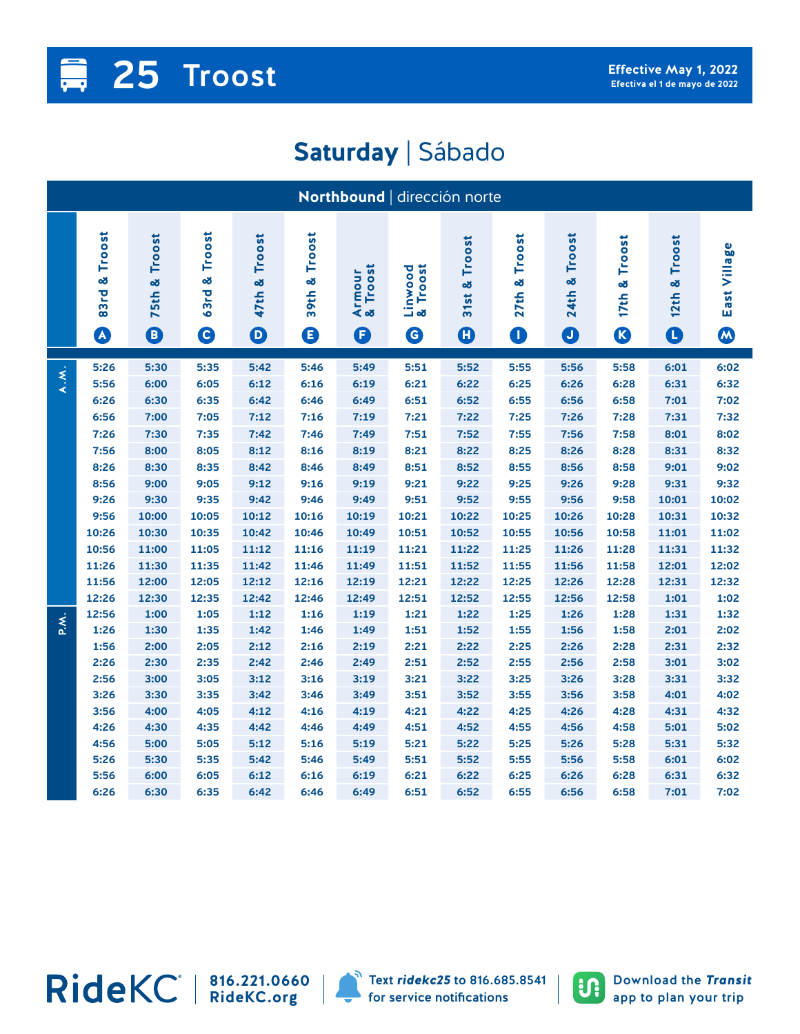## **Proost 25 Troost 25 Z5 Z**  $\blacksquare$

## **Saturday** | Sábado

| Northbound   dirección norte |                                        |                                     |                                  |                                              |                          |                         |                                              |                                         |                               |                                           |                                                |                                  |                   |
|------------------------------|----------------------------------------|-------------------------------------|----------------------------------|----------------------------------------------|--------------------------|-------------------------|----------------------------------------------|-----------------------------------------|-------------------------------|-------------------------------------------|------------------------------------------------|----------------------------------|-------------------|
|                              | 83rd & Troost<br>$\boldsymbol{\omega}$ | Troost<br>œδ<br>75th<br>$\mathbf 0$ | Troost<br>œ<br>63rd<br>$\bullet$ | Troost<br>œ<br>47th<br>$\boldsymbol{\Theta}$ | Troost<br>œ<br>39th<br>❶ | Armour<br>& Troost<br>O | Linwood<br>& Troost<br>$\boldsymbol{\Theta}$ | Troost<br>31st &<br>$\boldsymbol{\Phi}$ | Troost<br>27th &<br>$\bullet$ | Troost<br>œ<br><b>24th</b><br>$\mathbf 0$ | Troost<br>œ<br>17 <sub>th</sub><br>$\mathbf G$ | Troost<br>×<br>12th<br>$\bullet$ | East Village<br>W |
| A.M.                         | 5:26                                   | 5:30                                | 5:35                             | 5:42                                         | 5:46                     | 5:49                    | 5:51                                         | 5:52                                    | 5:55                          | 5:56                                      | 5:58                                           | 6:01                             | 6:02              |
|                              | 5:56                                   | 6:00                                | 6:05                             | 6:12                                         | 6:16                     | 6:19                    | 6:21                                         | 6:22                                    | 6:25                          | 6:26                                      | 6:28                                           | 6:31                             | 6:32              |
|                              | 6:26                                   | 6:30                                | 6:35                             | 6:42                                         | 6:46                     | 6:49                    | 6:51                                         | 6:52                                    | 6:55                          | 6:56                                      | 6:58                                           | 7:01                             | 7:02              |
|                              | 6:56                                   | 7:00                                | 7:05                             | 7:12                                         | 7:16                     | 7:19                    | 7:21                                         | 7:22                                    | 7:25                          | 7:26                                      | 7:28                                           | 7:31                             | 7:32              |
|                              | 7:26                                   | 7:30                                | 7:35                             | 7:42<br>8:12                                 | 7:46                     | 7:49                    | 7:51                                         | 7:52                                    | 7:55<br>8:25                  | 7:56                                      | 7:58<br>8:28                                   | 8:01                             | 8:02<br>8:32      |
|                              | 7:56                                   | 8:00<br>8:30                        | 8:05                             | 8:42                                         | 8:16                     | 8:19                    | 8:21<br>8:51                                 | 8:22<br>8:52                            | 8:55                          | 8:26                                      | 8:58                                           | 8:31                             | 9:02              |
|                              | 8:26<br>8:56                           | 9:00                                | 8:35<br>9:05                     | 9:12                                         | 8:46<br>9:16             | 8:49<br>9:19            | 9:21                                         | 9:22                                    | 9:25                          | 8:56<br>9:26                              | 9:28                                           | 9:01<br>9:31                     | 9:32              |
|                              | 9:26                                   | 9:30                                | 9:35                             | 9:42                                         | 9:46                     | 9:49                    | 9:51                                         | 9:52                                    | 9:55                          | 9:56                                      | 9:58                                           | 10:01                            | 10:02             |
|                              | 9:56                                   | 10:00                               | 10:05                            | 10:12                                        | 10:16                    | 10:19                   | 10:21                                        | 10:22                                   | 10:25                         | 10:26                                     | 10:28                                          | 10:31                            | 10:32             |
|                              | 10:26                                  | 10:30                               | 10:35                            | 10:42                                        | 10:46                    | 10:49                   | 10:51                                        | 10:52                                   | 10:55                         | 10:56                                     | 10:58                                          | 11:01                            | 11:02             |
|                              | 10:56                                  | 11:00                               | 11:05                            | 11:12                                        | 11:16                    | 11:19                   | 11:21                                        | 11:22                                   | 11:25                         | 11:26                                     | 11:28                                          | 11:31                            | 11:32             |
|                              | 11:26                                  | 11:30                               | 11:35                            | 11:42                                        | 11:46                    | 11:49                   | 11:51                                        | 11:52                                   | 11:55                         | 11:56                                     | 11:58                                          | 12:01                            | 12:02             |
|                              | 11:56                                  | 12:00                               | 12:05                            | 12:12                                        | 12:16                    | 12:19                   | 12:21                                        | 12:22                                   | 12:25                         | 12:26                                     | 12:28                                          | 12:31                            | 12:32             |
|                              | 12:26                                  | 12:30                               | 12:35                            | 12:42                                        | 12:46                    | 12:49                   | 12:51                                        | 12:52                                   | 12:55                         | 12:56                                     | 12:58                                          | 1:01                             | 1:02              |
| P.M.                         | 12:56                                  | 1:00                                | 1:05                             | 1:12                                         | 1:16                     | 1:19                    | 1:21                                         | 1:22                                    | 1:25                          | 1:26                                      | 1:28                                           | 1:31                             | 1:32              |
|                              | 1:26                                   | 1:30                                | 1:35                             | 1:42                                         | 1:46                     | 1:49                    | 1:51                                         | 1:52                                    | 1:55                          | 1:56                                      | 1:58                                           | 2:01                             | 2:02              |
|                              | 1:56                                   | 2:00                                | 2:05                             | 2:12                                         | 2:16                     | 2:19                    | 2:21                                         | 2:22                                    | 2:25                          | 2:26                                      | 2:28                                           | 2:31                             | 2:32              |
|                              | 2:26                                   | 2:30                                | 2:35                             | 2:42                                         | 2:46                     | 2:49                    | 2:51                                         | 2:52                                    | 2:55                          | 2:56                                      | 2:58                                           | 3:01                             | 3:02              |
|                              | 2:56                                   | 3:00                                | 3:05                             | 3:12                                         | 3:16                     | 3:19                    | 3:21                                         | 3:22                                    | 3:25                          | 3:26                                      | 3:28                                           | 3:31                             | 3:32              |
|                              | 3:26                                   | 3:30                                | 3:35                             | 3:42                                         | 3:46                     | 3:49                    | 3:51                                         | 3:52                                    | 3:55                          | 3:56                                      | 3:58                                           | 4:01                             | 4:02              |
|                              | 3:56                                   | 4:00                                | 4:05                             | 4:12                                         | 4:16                     | 4:19                    | 4:21                                         | 4:22                                    | 4:25                          | 4:26                                      | 4:28                                           | 4:31                             | 4:32              |
|                              | 4:26                                   | 4:30                                | 4:35                             | 4:42                                         | 4:46                     | 4:49                    | 4:51                                         | 4:52                                    | 4:55                          | 4:56                                      | 4:58                                           | 5:01                             | 5:02              |
|                              | 4:56                                   | 5:00                                | 5:05                             | 5:12                                         | 5:16                     | 5:19                    | 5:21                                         | 5:22                                    | 5:25                          | 5:26                                      | 5:28                                           | 5:31                             | 5:32              |
|                              | 5:26                                   | 5:30                                | 5:35                             | 5:42                                         | 5:46                     | 5:49                    | 5:51                                         | 5:52                                    | 5:55                          | 5:56                                      | 5:58                                           | 6:01                             | 6:02              |
|                              | 5:56                                   | 6:00                                | 6:05                             | 6:12                                         | 6:16                     | 6:19                    | 6:21                                         | 6:22                                    | 6:25                          | 6:26                                      | 6:28                                           | 6:31                             | 6:32              |
|                              | 6:26                                   | 6:30                                | 6:35                             | 6:42                                         | 6:46                     | 6:49                    | 6:51                                         | 6:52                                    | 6:55                          | 6:56                                      | 6:58                                           | 7:01                             | 7:02              |

**816.221.0660 RideKC.org**